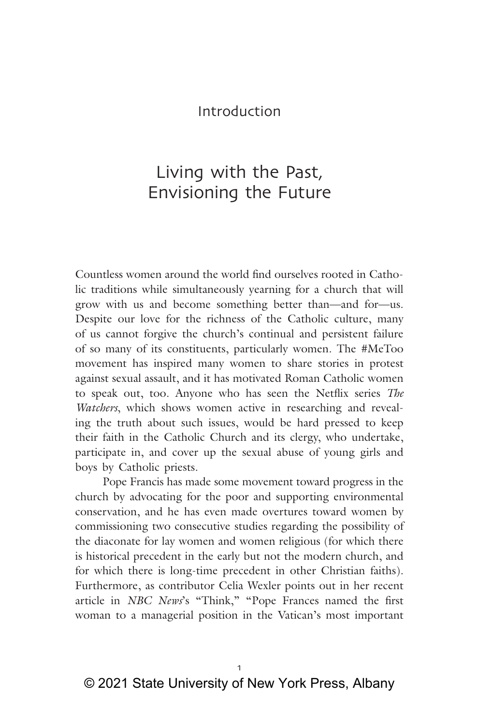## Introduction

## Living with the Past, Envisioning the Future

Countless women around the world find ourselves rooted in Catholic traditions while simultaneously yearning for a church that will grow with us and become something better than—and for—us. Despite our love for the richness of the Catholic culture, many of us cannot forgive the church's continual and persistent failure of so many of its constituents, particularly women. The #MeToo movement has inspired many women to share stories in protest against sexual assault, and it has motivated Roman Catholic women to speak out, too. Anyone who has seen the Netflix series *The Watchers*, which shows women active in researching and reveal– ing the truth about such issues, would be hard pressed to keep their faith in the Catholic Church and its clergy, who undertake, participate in, and cover up the sexual abuse of young girls and boys by Catholic priests.

Pope Francis has made some movement toward progress in the church by advocating for the poor and supporting environmental conservation, and he has even made overtures toward women by commissioning two consecutive studies regarding the possibility of the diaconate for lay women and women religious (for which there is historical precedent in the early but not the modern church, and for which there is long-time precedent in other Christian faiths). Furthermore, as contributor Celia Wexler points out in her recent article in *NBC News*'s "Think," "Pope Frances named the first woman to a managerial position in the Vatican's most important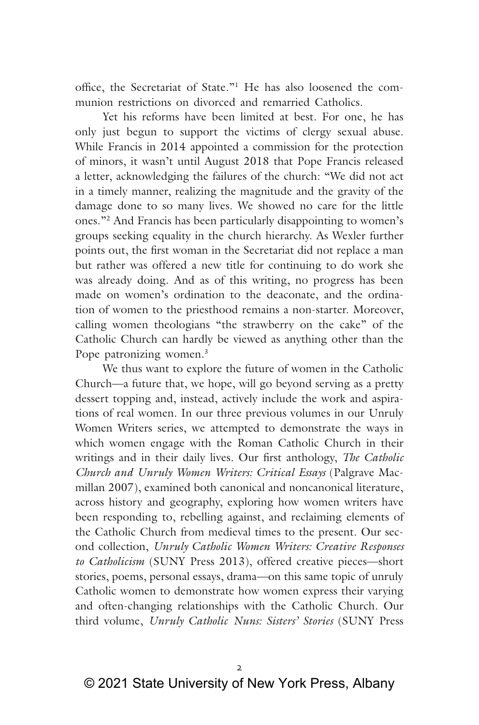office, the Secretariat of State."<sup>1</sup> He has also loosened the communion restrictions on divorced and remarried Catholics.

Yet his reforms have been limited at best. For one, he has only just begun to support the victims of clergy sexual abuse. While Francis in 2014 appointed a commission for the protection of minors, it wasn't until August 2018 that Pope Francis released a letter, acknowledging the failures of the church: "We did not act in a timely manner, realizing the magnitude and the gravity of the damage done to so many lives. We showed no care for the little ones."2 And Francis has been particularly disappointing to women's groups seeking equality in the church hierarchy. As Wexler further points out, the first woman in the Secretariat did not replace a man but rather was offered a new title for continuing to do work she was already doing. And as of this writing, no progress has been made on women's ordination to the deaconate, and the ordination of women to the priesthood remains a non‑starter. Moreover, calling women theologians "the strawberry on the cake" of the Catholic Church can hardly be viewed as anything other than the Pope patronizing women.<sup>3</sup>

We thus want to explore the future of women in the Catholic Church—a future that, we hope, will go beyond serving as a pretty dessert topping and, instead, actively include the work and aspirations of real women. In our three previous volumes in our Unruly Women Writers series, we attempted to demonstrate the ways in which women engage with the Roman Catholic Church in their writings and in their daily lives. Our first anthology, *The Catholic Church and Unruly Women Writers: Critical Essays* (Palgrave Mac‑ millan 2007), examined both canonical and noncanonical literature, across history and geography, exploring how women writers have been responding to, rebelling against, and reclaiming elements of the Catholic Church from medieval times to the present. Our second collection, *Unruly Catholic Women Writers: Creative Responses to Catholicism* (SUNY Press 2013), offered creative pieces—short stories, poems, personal essays, drama—on this same topic of unruly Catholic women to demonstrate how women express their varying and often‑changing relationships with the Catholic Church. Our third volume, *Unruly Catholic Nuns: Sisters' Stories* (SUNY Press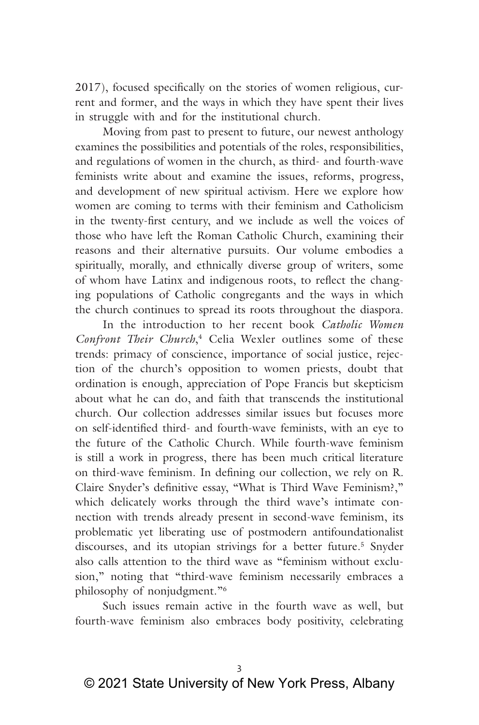2017), focused specifically on the stories of women religious, current and former, and the ways in which they have spent their lives in struggle with and for the institutional church.

Moving from past to present to future, our newest anthology examines the possibilities and potentials of the roles, responsibilities, and regulations of women in the church, as third- and fourth-wave feminists write about and examine the issues, reforms, progress, and development of new spiritual activism. Here we explore how women are coming to terms with their feminism and Catholicism in the twenty‑first century, and we include as well the voices of those who have left the Roman Catholic Church, examining their reasons and their alternative pursuits. Our volume embodies a spiritually, morally, and ethnically diverse group of writers, some of whom have Latinx and indigenous roots, to reflect the changing populations of Catholic congregants and the ways in which the church continues to spread its roots throughout the diaspora.

In the introduction to her recent book *Catholic Women Confront Their Church*, 4 Celia Wexler outlines some of these trends: primacy of conscience, importance of social justice, rejection of the church's opposition to women priests, doubt that ordination is enough, appreciation of Pope Francis but skepticism about what he can do, and faith that transcends the institutional church. Our collection addresses similar issues but focuses more on self‑identified third- and fourth‑wave feminists, with an eye to the future of the Catholic Church. While fourth-wave feminism is still a work in progress, there has been much critical literature on third‑wave feminism. In defining our collection, we rely on R. Claire Snyder's definitive essay, "What is Third Wave Feminism?," which delicately works through the third wave's intimate connection with trends already present in second‑wave feminism, its problematic yet liberating use of postmodern antifoundationalist discourses, and its utopian strivings for a better future.<sup>5</sup> Snyder also calls attention to the third wave as "feminism without exclusion," noting that "third-wave feminism necessarily embraces a philosophy of nonjudgment."6

Such issues remain active in the fourth wave as well, but fourth-wave feminism also embraces body positivity, celebrating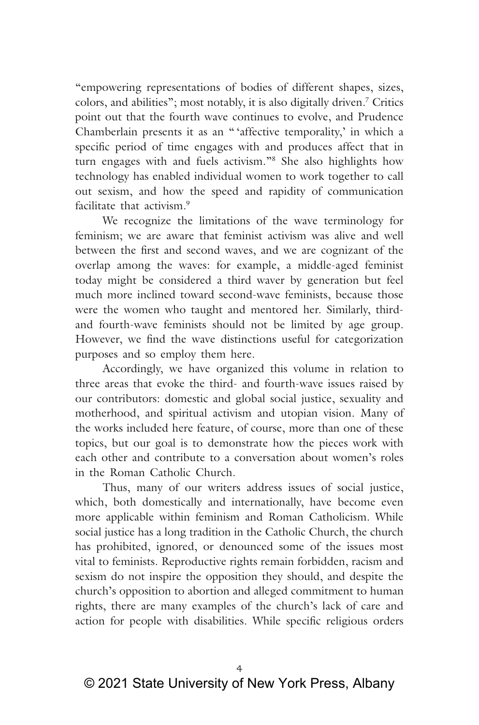"empowering representations of bodies of different shapes, sizes, colors, and abilities"; most notably, it is also digitally driven.7 Critics point out that the fourth wave continues to evolve, and Prudence Chamberlain presents it as an " 'affective temporality,' in which a specific period of time engages with and produces affect that in turn engages with and fuels activism."8 She also highlights how technology has enabled individual women to work together to call out sexism, and how the speed and rapidity of communication facilitate that activism<sup>9</sup>

We recognize the limitations of the wave terminology for feminism; we are aware that feminist activism was alive and well between the first and second waves, and we are cognizant of the overlap among the waves: for example, a middle‑aged feminist today might be considered a third waver by generation but feel much more inclined toward second-wave feminists, because those were the women who taught and mentored her. Similarly, thirdand fourth-wave feminists should not be limited by age group. However, we find the wave distinctions useful for categorization purposes and so employ them here.

Accordingly, we have organized this volume in relation to three areas that evoke the third- and fourth-wave issues raised by our contributors: domestic and global social justice, sexuality and motherhood, and spiritual activism and utopian vision. Many of the works included here feature, of course, more than one of these topics, but our goal is to demonstrate how the pieces work with each other and contribute to a conversation about women's roles in the Roman Catholic Church.

Thus, many of our writers address issues of social justice, which, both domestically and internationally, have become even more applicable within feminism and Roman Catholicism. While social justice has a long tradition in the Catholic Church, the church has prohibited, ignored, or denounced some of the issues most vital to feminists. Reproductive rights remain forbidden, racism and sexism do not inspire the opposition they should, and despite the church's opposition to abortion and alleged commitment to human rights, there are many examples of the church's lack of care and action for people with disabilities. While specific religious orders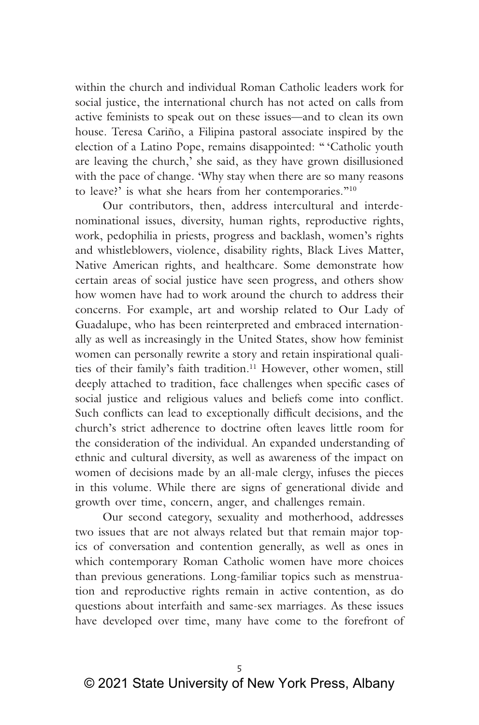within the church and individual Roman Catholic leaders work for social justice, the international church has not acted on calls from active feminists to speak out on these issues—and to clean its own house. Teresa Cariño, a Filipina pastoral associate inspired by the election of a Latino Pope, remains disappointed: " 'Catholic youth are leaving the church,' she said, as they have grown disillusioned with the pace of change. 'Why stay when there are so many reasons to leave?' is what she hears from her contemporaries."10

Our contributors, then, address intercultural and interdenominational issues, diversity, human rights, reproductive rights, work, pedophilia in priests, progress and backlash, women's rights and whistleblowers, violence, disability rights, Black Lives Matter, Native American rights, and healthcare. Some demonstrate how certain areas of social justice have seen progress, and others show how women have had to work around the church to address their concerns. For example, art and worship related to Our Lady of Guadalupe, who has been reinterpreted and embraced internationally as well as increasingly in the United States, show how feminist women can personally rewrite a story and retain inspirational qualities of their family's faith tradition.<sup>11</sup> However, other women, still deeply attached to tradition, face challenges when specific cases of social justice and religious values and beliefs come into conflict. Such conflicts can lead to exceptionally difficult decisions, and the church's strict adherence to doctrine often leaves little room for the consideration of the individual. An expanded understanding of ethnic and cultural diversity, as well as awareness of the impact on women of decisions made by an all-male clergy, infuses the pieces in this volume. While there are signs of generational divide and growth over time, concern, anger, and challenges remain.

Our second category, sexuality and motherhood, addresses two issues that are not always related but that remain major topics of conversation and contention generally, as well as ones in which contemporary Roman Catholic women have more choices than previous generations. Long-familiar topics such as menstruation and reproductive rights remain in active contention, as do questions about interfaith and same‑sex marriages. As these issues have developed over time, many have come to the forefront of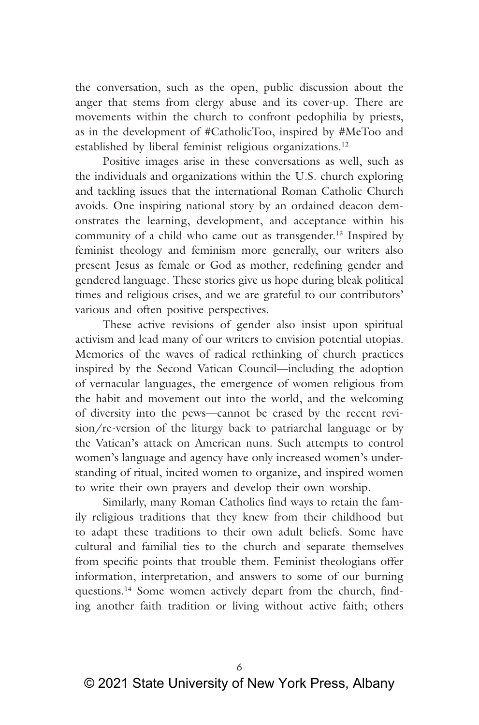the conversation, such as the open, public discussion about the anger that stems from clergy abuse and its cover-up. There are movements within the church to confront pedophilia by priests, as in the development of #CatholicToo, inspired by #MeToo and established by liberal feminist religious organizations.<sup>12</sup>

Positive images arise in these conversations as well, such as the individuals and organizations within the U.S. church exploring and tackling issues that the international Roman Catholic Church avoids. One inspiring national story by an ordained deacon demonstrates the learning, development, and acceptance within his community of a child who came out as transgender.<sup>13</sup> Inspired by feminist theology and feminism more generally, our writers also present Jesus as female or God as mother, redefining gender and gendered language. These stories give us hope during bleak political times and religious crises, and we are grateful to our contributors' various and often positive perspectives.

These active revisions of gender also insist upon spiritual activism and lead many of our writers to envision potential utopias. Memories of the waves of radical rethinking of church practices inspired by the Second Vatican Council—including the adoption of vernacular languages, the emergence of women religious from the habit and movement out into the world, and the welcoming of diversity into the pews—cannot be erased by the recent revision/re‑version of the liturgy back to patriarchal language or by the Vatican's attack on American nuns. Such attempts to control women's language and agency have only increased women's understanding of ritual, incited women to organize, and inspired women to write their own prayers and develop their own worship.

Similarly, many Roman Catholics find ways to retain the family religious traditions that they knew from their childhood but to adapt these traditions to their own adult beliefs. Some have cultural and familial ties to the church and separate themselves from specific points that trouble them. Feminist theologians offer information, interpretation, and answers to some of our burning questions.<sup>14</sup> Some women actively depart from the church, finding another faith tradition or living without active faith; others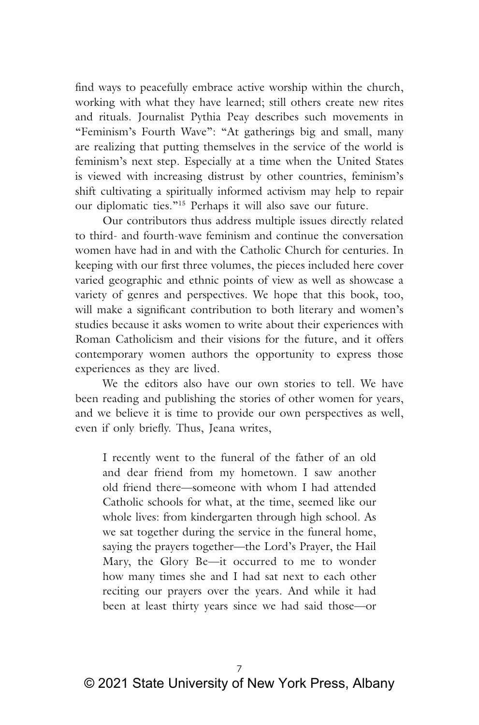find ways to peacefully embrace active worship within the church, working with what they have learned; still others create new rites and rituals. Journalist Pythia Peay describes such movements in "Feminism's Fourth Wave": "At gatherings big and small, many are realizing that putting themselves in the service of the world is feminism's next step. Especially at a time when the United States is viewed with increasing distrust by other countries, feminism's shift cultivating a spiritually informed activism may help to repair our diplomatic ties."15 Perhaps it will also save our future.

Our contributors thus address multiple issues directly related to third- and fourth‑wave feminism and continue the conversation women have had in and with the Catholic Church for centuries. In keeping with our first three volumes, the pieces included here cover varied geographic and ethnic points of view as well as showcase a variety of genres and perspectives. We hope that this book, too, will make a significant contribution to both literary and women's studies because it asks women to write about their experiences with Roman Catholicism and their visions for the future, and it offers contemporary women authors the opportunity to express those experiences as they are lived.

We the editors also have our own stories to tell. We have been reading and publishing the stories of other women for years, and we believe it is time to provide our own perspectives as well, even if only briefly. Thus, Jeana writes,

I recently went to the funeral of the father of an old and dear friend from my hometown. I saw another old friend there—someone with whom I had attended Catholic schools for what, at the time, seemed like our whole lives: from kindergarten through high school. As we sat together during the service in the funeral home, saying the prayers together—the Lord's Prayer, the Hail Mary, the Glory Be—it occurred to me to wonder how many times she and I had sat next to each other reciting our prayers over the years. And while it had been at least thirty years since we had said those—or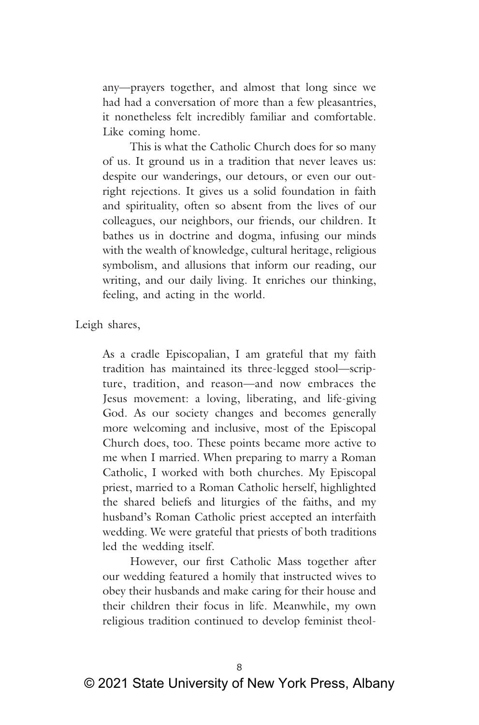any—prayers together, and almost that long since we had had a conversation of more than a few pleasantries, it nonetheless felt incredibly familiar and comfortable. Like coming home.

This is what the Catholic Church does for so many of us. It ground us in a tradition that never leaves us: despite our wanderings, our detours, or even our outright rejections. It gives us a solid foundation in faith and spirituality, often so absent from the lives of our colleagues, our neighbors, our friends, our children. It bathes us in doctrine and dogma, infusing our minds with the wealth of knowledge, cultural heritage, religious symbolism, and allusions that inform our reading, our writing, and our daily living. It enriches our thinking, feeling, and acting in the world.

Leigh shares,

As a cradle Episcopalian, I am grateful that my faith tradition has maintained its three-legged stool—scripture, tradition, and reason—and now embraces the Jesus movement: a loving, liberating, and life‑giving God. As our society changes and becomes generally more welcoming and inclusive, most of the Episcopal Church does, too. These points became more active to me when I married. When preparing to marry a Roman Catholic, I worked with both churches. My Episcopal priest, married to a Roman Catholic herself, highlighted the shared beliefs and liturgies of the faiths, and my husband's Roman Catholic priest accepted an interfaith wedding. We were grateful that priests of both traditions led the wedding itself.

However, our first Catholic Mass together after our wedding featured a homily that instructed wives to obey their husbands and make caring for their house and their children their focus in life. Meanwhile, my own religious tradition continued to develop feminist theol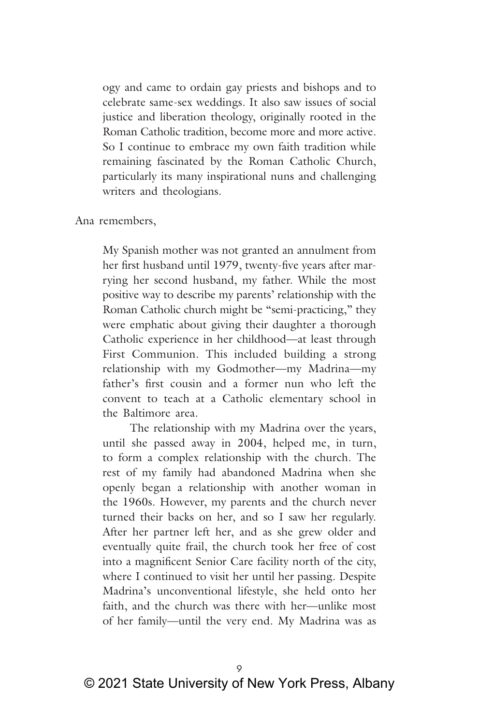ogy and came to ordain gay priests and bishops and to celebrate same‑sex weddings. It also saw issues of social justice and liberation theology, originally rooted in the Roman Catholic tradition, become more and more active. So I continue to embrace my own faith tradition while remaining fascinated by the Roman Catholic Church, particularly its many inspirational nuns and challenging writers and theologians.

Ana remembers,

My Spanish mother was not granted an annulment from her first husband until 1979, twenty-five years after marrying her second husband, my father. While the most positive way to describe my parents' relationship with the Roman Catholic church might be "semi‑practicing," they were emphatic about giving their daughter a thorough Catholic experience in her childhood—at least through First Communion. This included building a strong relationship with my Godmother—my Madrina—my father's first cousin and a former nun who left the convent to teach at a Catholic elementary school in the Baltimore area.

The relationship with my Madrina over the years, until she passed away in 2004, helped me, in turn, to form a complex relationship with the church. The rest of my family had abandoned Madrina when she openly began a relationship with another woman in the 1960s. However, my parents and the church never turned their backs on her, and so I saw her regularly. After her partner left her, and as she grew older and eventually quite frail, the church took her free of cost into a magnificent Senior Care facility north of the city, where I continued to visit her until her passing. Despite Madrina's unconventional lifestyle, she held onto her faith, and the church was there with her—unlike most of her family—until the very end. My Madrina was as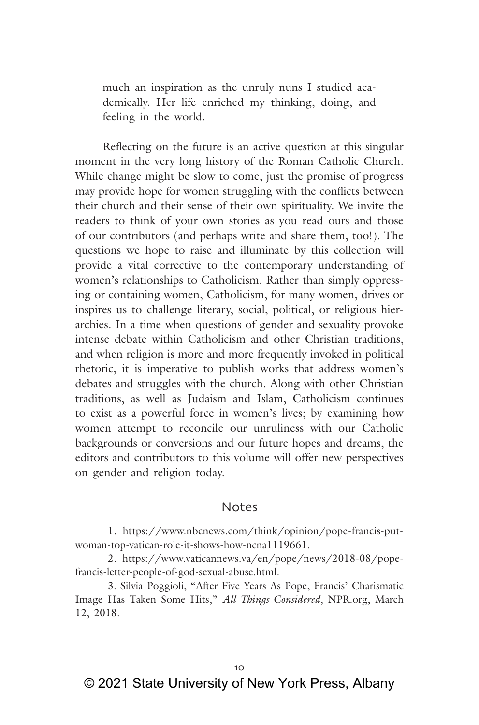much an inspiration as the unruly nuns I studied academically. Her life enriched my thinking, doing, and feeling in the world.

Reflecting on the future is an active question at this singular moment in the very long history of the Roman Catholic Church. While change might be slow to come, just the promise of progress may provide hope for women struggling with the conflicts between their church and their sense of their own spirituality. We invite the readers to think of your own stories as you read ours and those of our contributors (and perhaps write and share them, too!). The questions we hope to raise and illuminate by this collection will provide a vital corrective to the contemporary understanding of women's relationships to Catholicism. Rather than simply oppressing or containing women, Catholicism, for many women, drives or inspires us to challenge literary, social, political, or religious hierarchies. In a time when questions of gender and sexuality provoke intense debate within Catholicism and other Christian traditions, and when religion is more and more frequently invoked in political rhetoric, it is imperative to publish works that address women's debates and struggles with the church. Along with other Christian traditions, as well as Judaism and Islam, Catholicism continues to exist as a powerful force in women's lives; by examining how women attempt to reconcile our unruliness with our Catholic backgrounds or conversions and our future hopes and dreams, the editors and contributors to this volume will offer new perspectives on gender and religion today.

## Notes

1. https://www.nbcnews.com/think/opinion/pope-francis-putwoman-top-vatican-role-it-shows-how-ncna1119661.

2. https://www.vaticannews.va/en/pope/news/2018-08/popefrancis-letter-people-of-god-sexual-abuse.html.

3. Silvia Poggioli, "After Five Years As Pope, Francis' Charismatic Image Has Taken Some Hits," *All Things Considered*, NPR.org, March 12, 2018.

## © 2021 State University of New York Press, Albany